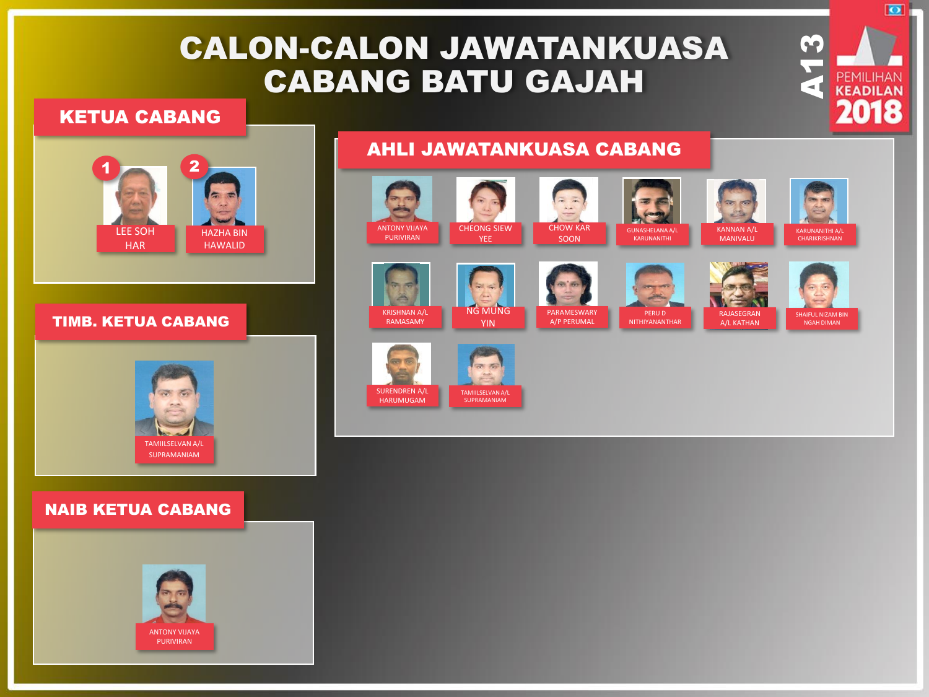# CALON-CALON JAWATANKUASA CABANG BATU GAJAH

### KETUA CABANG



#### TIMB. KETUA CABANG



### NAIB KETUA CABANG



### AHLI JAWATANKUASA CABANG



**M**<br>**A**<br>**PEMILIHAN**<br>**2018** 

 $\overline{\bullet}$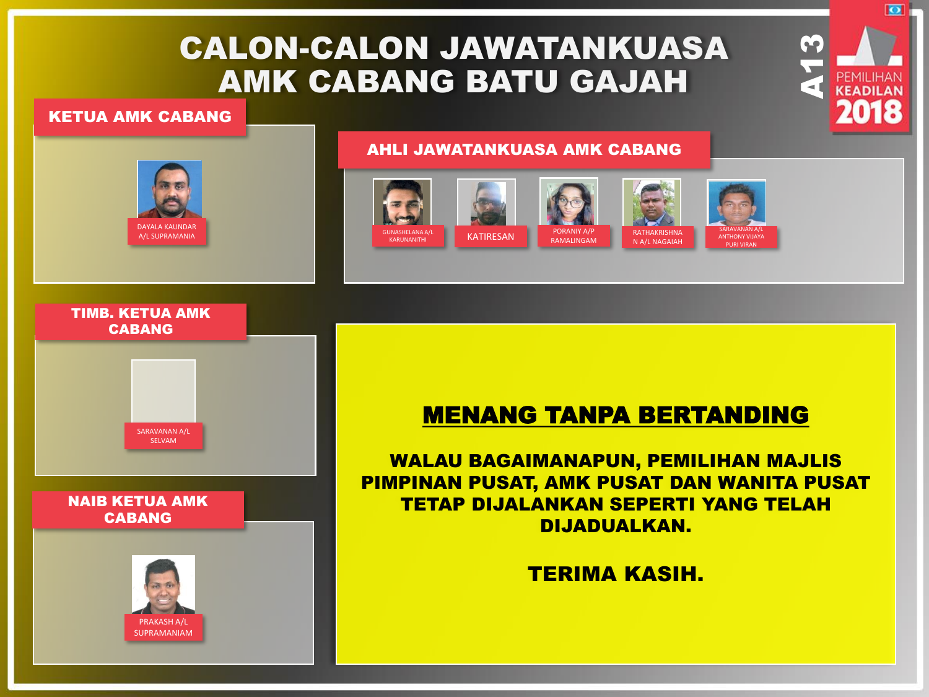# CALON-CALON JAWATANKUASA AMK CABANG BATU GAJAH

### KETUA AMK CABANG

# DAYALA KALINDAR A/L SUPRAMANIA

### AHLI JAWATANKUASA AMK CABANG



**A13** 

ा

# SARAVANAN A/L SELVAM TIMB. KETUA AMK CABANG

NAIB KETUA AMK CABANG



## MENANG TANPA BERTANDING

WALAU BAGAIMANAPUN, PEMILIHAN MAJLIS PIMPINAN PUSAT, AMK PUSAT DAN WANITA PUSAT TETAP DIJALANKAN SEPERTI YANG TELAH DIJADUALKAN.

## TERIMA KASIH.